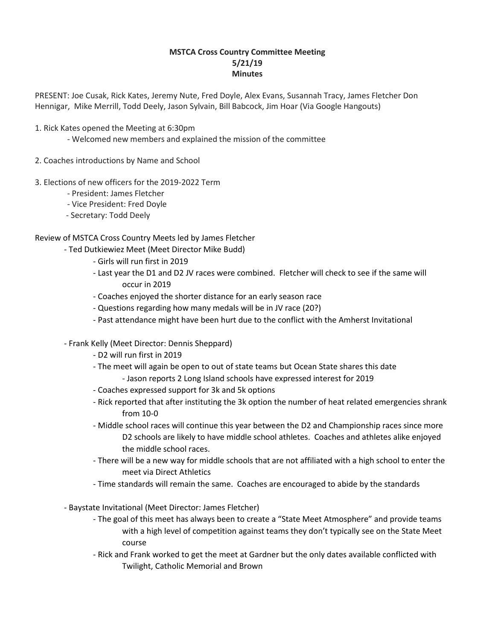## **MSTCA Cross Country Committee Meeting 5/21/19 Minutes**

PRESENT: Joe Cusak, Rick Kates, Jeremy Nute, Fred Doyle, Alex Evans, Susannah Tracy, James Fletcher Don Hennigar, Mike Merrill, Todd Deely, Jason Sylvain, Bill Babcock, Jim Hoar (Via Google Hangouts)

- 1. Rick Kates opened the Meeting at 6:30pm
	- Welcomed new members and explained the mission of the committee
- 2. Coaches introductions by Name and School
- 3. Elections of new officers for the 2019-2022 Term
	- President: James Fletcher
	- Vice President: Fred Doyle
	- Secretary: Todd Deely

## Review of MSTCA Cross Country Meets led by James Fletcher

- Ted Dutkiewiez Meet (Meet Director Mike Budd)
	- Girls will run first in 2019
	- Last year the D1 and D2 JV races were combined. Fletcher will check to see if the same will occur in 2019
	- Coaches enjoyed the shorter distance for an early season race
	- Questions regarding how many medals will be in JV race (20?)
	- Past attendance might have been hurt due to the conflict with the Amherst Invitational
- Frank Kelly (Meet Director: Dennis Sheppard)
	- D2 will run first in 2019
	- The meet will again be open to out of state teams but Ocean State shares this date - Jason reports 2 Long Island schools have expressed interest for 2019
	- Coaches expressed support for 3k and 5k options
	- Rick reported that after instituting the 3k option the number of heat related emergencies shrank from 10-0
	- Middle school races will continue this year between the D2 and Championship races since more D2 schools are likely to have middle school athletes. Coaches and athletes alike enjoyed the middle school races.
	- There will be a new way for middle schools that are not affiliated with a high school to enter the meet via Direct Athletics
	- Time standards will remain the same. Coaches are encouraged to abide by the standards
- Baystate Invitational (Meet Director: James Fletcher)
	- The goal of this meet has always been to create a "State Meet Atmosphere" and provide teams with a high level of competition against teams they don't typically see on the State Meet course
	- Rick and Frank worked to get the meet at Gardner but the only dates available conflicted with Twilight, Catholic Memorial and Brown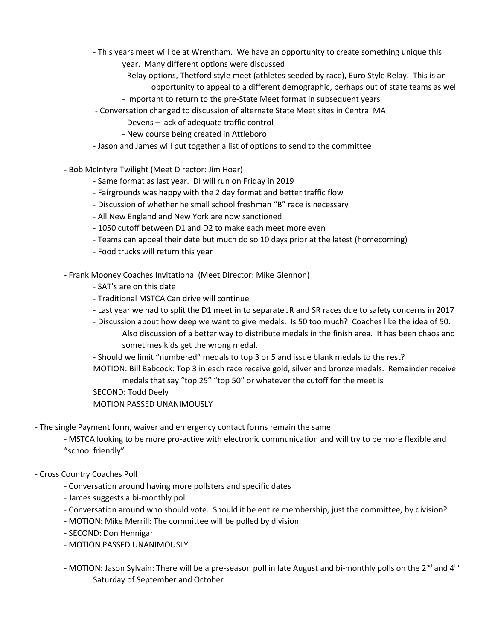- This years meet will be at Wrentham. We have an opportunity to create something unique this
	- year. Many different options were discussed
	- Relay options, Thetford style meet (athletes seeded by race), Euro Style Relay. This is an opportunity to appeal to a different demographic, perhaps out of state teams as well
	- Important to return to the pre-State Meet format in subsequent years
- Conversation changed to discussion of alternate State Meet sites in Central MA
	- Devens lack of adequate traffic control
	- New course being created in Attleboro
- Jason and James will put together a list of options to send to the committee
- Bob McIntyre Twilight (Meet Director: Jim Hoar)
	- Same format as last year. DI will run on Friday in 2019
	- Fairgrounds was happy with the 2 day format and better traffic flow
	- Discussion of whether he small school freshman "B" race is necessary
	- All New England and New York are now sanctioned
	- 1050 cutoff between D1 and D2 to make each meet more even
	- Teams can appeal their date but much do so 10 days prior at the latest (homecoming)
	- Food trucks will return this year
- Frank Mooney Coaches Invitational (Meet Director: Mike Glennon)
	- SAT's are on this date
	- Traditional MSTCA Can drive will continue
	- Last year we had to split the D1 meet in to separate JR and SR races due to safety concerns in 2017
	- Discussion about how deep we want to give medals. Is 50 too much? Coaches like the idea of 50. Also discussion of a better way to distribute medals in the finish area. It has been chaos and sometimes kids get the wrong medal.
	- Should we limit "numbered" medals to top 3 or 5 and issue blank medals to the rest? MOTION: Bill Babcock: Top 3 in each race receive gold, silver and bronze medals. Remainder receive

medals that say "top 25" "top 50" or whatever the cutoff for the meet is

- SECOND: Todd Deely
- MOTION PASSED UNANIMOUSLY

- The single Payment form, waiver and emergency contact forms remain the same

- MSTCA looking to be more pro-active with electronic communication and will try to be more flexible and "school friendly"
- Cross Country Coaches Poll
	- Conversation around having more pollsters and specific dates
	- James suggests a bi-monthly poll
	- Conversation around who should vote. Should it be entire membership, just the committee, by division?
	- MOTION: Mike Merrill: The committee will be polled by division
	- SECOND: Don Hennigar
	- MOTION PASSED UNANIMOUSLY
	- MOTION: Jason Sylvain: There will be a pre-season poll in late August and bi-monthly polls on the 2<sup>nd</sup> and 4<sup>th</sup> Saturday of September and October